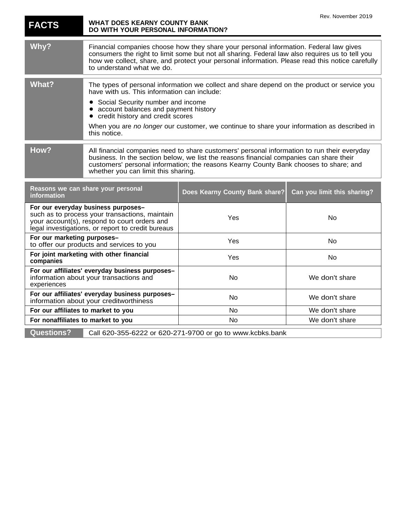| <b>FACTS</b>                                                                                                                                                                               | <b>WHAT DOES KEARNY COUNTY BANK</b><br>DO WITH YOUR PERSONAL INFORMATION?                                                                                                                                                                                                                                                                                                 |                                | Rev. November 2019          |
|--------------------------------------------------------------------------------------------------------------------------------------------------------------------------------------------|---------------------------------------------------------------------------------------------------------------------------------------------------------------------------------------------------------------------------------------------------------------------------------------------------------------------------------------------------------------------------|--------------------------------|-----------------------------|
| Why?                                                                                                                                                                                       | Financial companies choose how they share your personal information. Federal law gives<br>consumers the right to limit some but not all sharing. Federal law also requires us to tell you<br>how we collect, share, and protect your personal information. Please read this notice carefully<br>to understand what we do.                                                 |                                |                             |
| What?                                                                                                                                                                                      | The types of personal information we collect and share depend on the product or service you<br>have with us. This information can include:<br>Social Security number and income<br>account balances and payment history<br>credit history and credit scores<br>When you are no longer our customer, we continue to share your information as described in<br>this notice. |                                |                             |
| How?                                                                                                                                                                                       | All financial companies need to share customers' personal information to run their everyday<br>business. In the section below, we list the reasons financial companies can share their<br>customers' personal information; the reasons Kearny County Bank chooses to share; and<br>whether you can limit this sharing.                                                    |                                |                             |
| Reasons we can share your personal<br>information                                                                                                                                          |                                                                                                                                                                                                                                                                                                                                                                           | Does Kearny County Bank share? | Can you limit this sharing? |
| For our everyday business purposes-<br>such as to process your transactions, maintain<br>your account(s), respond to court orders and<br>legal investigations, or report to credit bureaus |                                                                                                                                                                                                                                                                                                                                                                           | Yes                            | No                          |
| For our marketing purposes-<br>to offer our products and services to you                                                                                                                   |                                                                                                                                                                                                                                                                                                                                                                           | Yes                            | No                          |
| For joint marketing with other financial<br>companies                                                                                                                                      |                                                                                                                                                                                                                                                                                                                                                                           | Yes                            | No                          |
| For our affiliates' everyday business purposes-<br>information about your transactions and<br>experiences                                                                                  |                                                                                                                                                                                                                                                                                                                                                                           | No                             | We don't share              |
| For our affiliates' everyday business purposes-<br>information about your creditworthiness                                                                                                 |                                                                                                                                                                                                                                                                                                                                                                           | No                             | We don't share              |
| For our affiliates to market to you                                                                                                                                                        |                                                                                                                                                                                                                                                                                                                                                                           | No                             | We don't share              |
| For nonaffiliates to market to you                                                                                                                                                         |                                                                                                                                                                                                                                                                                                                                                                           | <b>No</b>                      | We don't share              |
| <b>Questions?</b><br>Call 620-355-6222 or 620-271-9700 or go to www.kcbks.bank                                                                                                             |                                                                                                                                                                                                                                                                                                                                                                           |                                |                             |